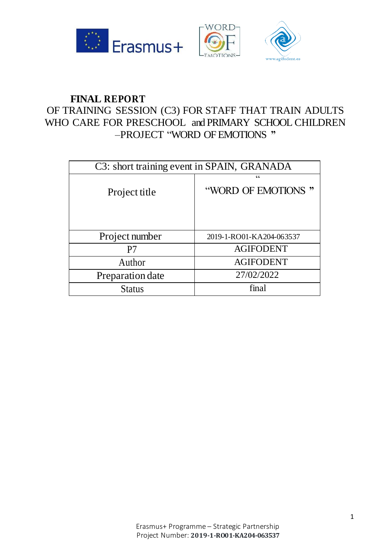

# **FINAL REPORT**

# OF TRAINING SESSION (C3) FOR STAFF THAT TRAIN ADULTS WHO CARE FOR PRESCHOOL and PRIMARY SCHOOL CHILDREN –PROJECT "WORD OF EMOTIONS **"**

| C3: short training event in SPAIN, GRANADA |                          |
|--------------------------------------------|--------------------------|
| Project title                              | C<br>"WORD OF EMOTIONS"  |
| Project number                             | 2019-1-RO01-KA204-063537 |
| P7                                         | <b>AGIFODENT</b>         |
| Author                                     | <b>AGIFODENT</b>         |
| Preparation date                           | 27/02/2022               |
| <b>Status</b>                              | final                    |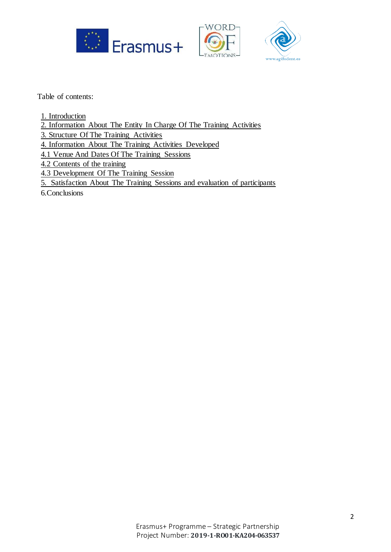





Table of contents:

- 1. Introduction
- 2. Information About The Entity In Charge Of The Training Activities
- 3. Structure Of The Training Activities
- 4. Information About The Training Activities Developed
- 4.1 Venue And Dates Of The Training Sessions
- 4.2 Contents of the training
- 4.3 Development Of The Training Session
- 5. Satisfaction About The Training Sessions and evaluation of participants

6.Conclusions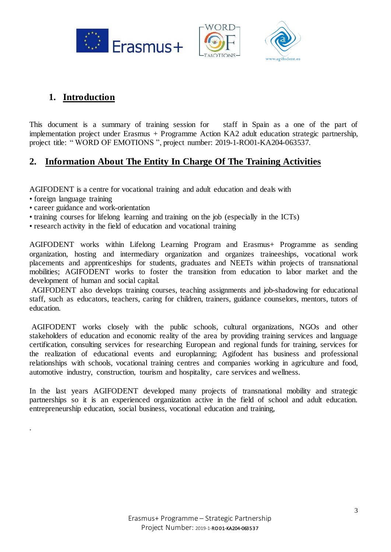





# **1. Introduction**

This document is a summary of training session for staff in Spain as a one of the part of implementation project under Erasmus + Programme Action KA2 adult education strategic partnership, project title: "WORD OF EMOTIONS", project number: 2019-1-RO01-KA204-063537.

### **2. Information About The Entity In Charge Of The Training Activities**

AGIFODENT is a centre for vocational training and adult education and deals with

• foreign language training

.

- career guidance and work-orientation
- training courses for lifelong learning and training on the job (especially in the ICTs)
- research activity in the field of education and vocational training

AGIFODENT works within Lifelong Learning Program and Erasmus+ Programme as sending organization, hosting and intermediary organization and organizes traineeships, vocational work placements and apprenticeships for students, graduates and NEETs within projects of transnational mobilities; AGIFODENT works to foster the transition from education to labor market and the development of human and social capital.

AGIFODENT also develops training courses, teaching assignments and job-shadowing for educational staff, such as educators, teachers, caring for children, trainers, guidance counselors, mentors, tutors of education.

AGIFODENT works closely with the public schools, cultural organizations, NGOs and other stakeholders of education and economic reality of the area by providing training services and language certification, consulting services for researching European and regional funds for training, services for the realization of educational events and europlanning; Agifodent has business and professional relationships with schools, vocational training centres and companies working in agriculture and food, automotive industry, construction, tourism and hospitality, care services and wellness.

In the last years AGIFODENT developed many projects of transnational mobility and strategic partnerships so it is an experienced organization active in the field of school and adult education. entrepreneurship education, social business, vocational education and training,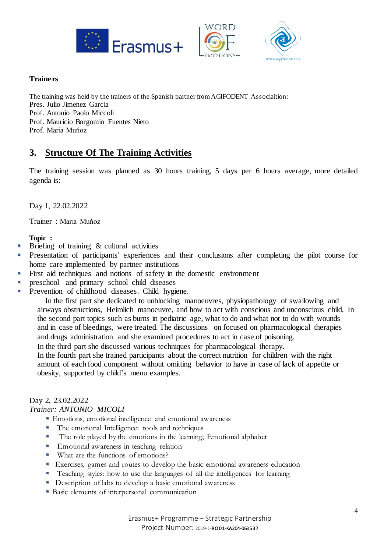





#### **Trainers**

The training was held by the trainers of the Spanish partner from AGIFODENT Associaition: Pres. Julio Jimenez Garcia Prof. Antonio Paolo Miccoli Prof. Mauricio Borgomio Fuentes Nieto Prof. Maria Muńoz

### **3. Structure Of The Training Activities**

The training session was planned as 30 hours training, 5 days per 6 hours average, more detailed agenda is:

Day 1, 22.02.2022

Trainer : Maria Muńoz

#### **Topic :**

- Briefing of training  $&$  cultural activities
- **Presentation of participants' experiences and their conclusions after completing the pilot course for** home care implemented by partner institutions
- First aid techniques and notions of safety in the domestic environment
- **preschool** and primary school child diseases
- **Prevention of childhood diseases. Child hygiene.**

 In the first part she dedicated to unblocking manoeuvres, physiopathology of swallowing and airways obstructions, Heimlich manoeuvre, and how to act with conscious and unconscious child. In the second part topics such as burns in pediatric age, what to do and what not to do with wounds and in case of bleedings, were treated. The discussions on focused on pharmacological therapies and drugs administration and she examined procedures to act in case of poisoning.

In the third part she discussed various techniques for pharmacological therapy.

In the fourth part she trained participants about the correct nutrition for children with the right amount of each food component without omitting behavior to have in case of lack of appetite or obesity, supported by child's menu examples.

### Day 2, 23.02.2022

*Trainer: ANTONIO MICOLI*

- Emotions, emotional intelligence and emotional awareness
- The emotional Intelligence: tools and techniques
- The role played by the emotions in the learning; Emotional alphabet
- **Emotional awareness in teaching relation**
- What are the functions of emotions?
- Exercises, games and routes to develop the basic emotional awareness education
- **Teaching styles:** how to use the languages of all the intelligences for learning
- Description of labs to develop a basic emotional awareness
- **Basic elements of interpersonal communication**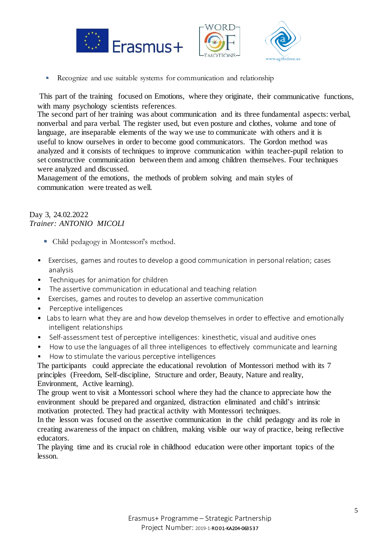



Recognize and use suitable systems for communication and relationship

This part of the training focused on Emotions, where they originate, their communicative functions, with many psychology scientists references.

The second part of her training was about communication and its three fundamental aspects: verbal, nonverbal and para verbal. The register used, but even posture and clothes, volume and tone of language, are inseparable elements of the way we use to communicate with others and it is useful to know ourselves in order to become good communicators. The Gordon method was analyzed and it consists of techniques to improve communication within teacher-pupil relation to set constructive communication between them and among children themselves. Four techniques were analyzed and discussed.

Management of the emotions, the methods of problem solving and main styles of communication were treated as well.

#### Day 3, 24.02.2022 *Trainer: ANTONIO MICOLI*

- Child pedagogy in Montessori's method.
- Exercises, games and routes to develop a good communication in personal relation; cases analysis
- Techniques for animation for children
- The assertive communication in educational and teaching relation
- Exercises, games and routes to develop an assertive communication
- Perceptive intelligences
- Labs to learn what they are and how develop themselves in order to effective and emotionally intelligent relationships
- Self-assessment test of perceptive intelligences: kinesthetic, visual and auditive ones
- How to use the languages of all three intelligences to effectively communicate and learning
- How to stimulate the various perceptive intelligences

The participants could appreciate the educational revolution of Montessori method with its 7 principles (Freedom, Self-discipline, Structure and order, Beauty, Nature and reality, Environment, Active learning).

The group went to visit a Montessori school where they had the chance to appreciate how the environment should be prepared and organized, distraction eliminated and child's intrinsic motivation protected. They had practical activity with Montessori techniques.

In the lesson was focused on the assertive communication in the child pedagogy and its role in creating awareness of the impact on children, making visible our way of practice, being reflective educators.

The playing time and its crucial role in childhood education were other important topics of the lesson.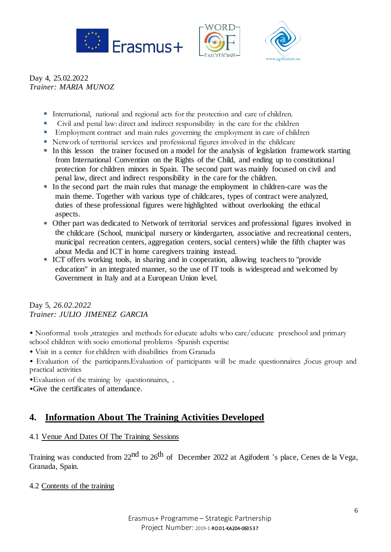





Day 4, 25.02.2022 *Trainer: MARIA MUNOZ* 

- International, national and regional acts for the protection and care of children.
- Civil and penal law: direct and indirect responsibility in the care for the children
- **Employment contract and main rules governing the employment in care of children**
- Network of territorial services and professional figures involved in the childcare
- In this lesson the trainer focused on a model for the analysis of legislation framework starting from International Convention on the Rights of the Child, and ending up to constitutional protection for children minors in Spain. The second part was mainly focused on civil and penal law, direct and indirect responsibility in the care for the children.
- In the second part the main rules that manage the employment in children-care was the main theme. Together with various type of childcares, types of contract were analyzed, duties of these professional figures were highlighted without overlooking the ethical aspects.
- Other part was dedicated to Network of territorial services and professional figures involved in the childcare (School, municipal nursery or kindergarten, associative and recreational centers, municipal recreation centers, aggregation centers, social centers) while the fifth chapter was about Media and ICT in home caregivers training instead.
- ICT offers working tools, in sharing and in cooperation, allowing teachers to "provide" education" in an integrated manner, so the use of IT tools is widespread and welcomed by Government in Italy and at a European Union level.

#### Day 5, *26.02.2022 Trainer: JULIO JIMENEZ GARCIA*

- Nonformal tools ,strategies and methods for educate adults who care/educate preschool and primary school children with socio emotional problems -Spanish expertise
- Visit in a center for children with disabilities from Granada
- Evaluation of the participants.Evaluation of participants will be made questionnaires ,focus group and practical activities
- •Evaluation of the training by questionnaires, .
- •Give the certificates of attendance.

## **4. Information About The Training Activities Developed**

### 4.1 Venue And Dates Of The Training Sessions

Training was conducted from 22<sup>nd</sup> to 26<sup>th</sup> of December 2022 at Agifodent 's place, Cenes de la Vega, Granada, Spain.

#### 4.2 Contents of the training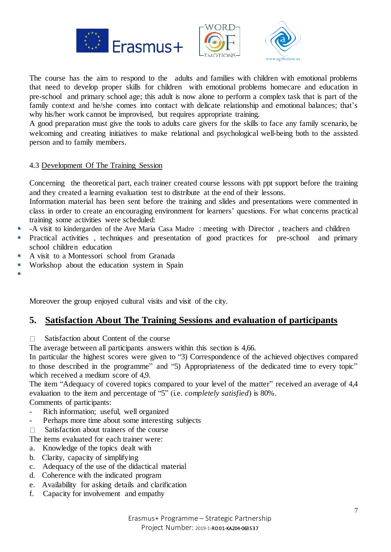





The course has the aim to respond to the adults and families with children with emotional problems that need to develop proper skills for children with emotional problems homecare and education in pre-school and primary school age; this adult is now alone to perform a complex task that is part of the family context and he/she comes into contact with delicate relationship and emotional balances; that's why his/her work cannot be improvised, but requires appropriate training.

A good preparation must give the tools to adults care givers for the skills to face any family scenario, be welcoming and creating initiatives to make relational and psychological well-being both to the assisted person and to family members.

#### 4.3 Development Of The Training Session

Concerning the theoretical part, each trainer created course lessons with ppt support before the training and they created a learning evaluation test to distribute at the end of their lessons.

Information material has been sent before the training and slides and presentations were commented in class in order to create an encouraging environment for learners' questions. For what concerns practical training some activities were scheduled:

- -A visit to kindergarden of the Ave Maria Casa Madre : meeting with Director , teachers and children
- **Practical activities**, techniques and presentation of good practices for pre-school and primary school children education
- A visit to a Montessori school from Granada
- Workshop about the education system in Spain

 $\blacksquare$ 

Moreover the group enjoyed cultural visits and visit of the city.

### **5. Satisfaction About The Training Sessions and evaluation of participants**

 $\Box$  Satisfaction about Content of the course

The average between all participants answers within this section is 4,66.

In particular the highest scores were given to "3) Correspondence of the achieved objectives compared to those described in the programme" and "5) Appropriateness of the dedicated time to every topic" which received a medium score of 4.9.

The item "Adequacy of covered topics compared to your level of the matter" received an average of 4,4 evaluation to the item and percentage of "5" (i.e. *completely satisfied*) is 80%.

Comments of participants:

- Rich information; useful, well organized
- Perhaps more time about some interesting subjects
- $\Box$  Satisfaction about trainers of the course

The items evaluated for each trainer were:

- a. Knowledge of the topics dealt with
- b. Clarity, capacity of simplifying
- c. Adequacy of the use of the didactical material
- d. Coherence with the indicated program
- e. Availability for asking details and clarification
- f. Capacity for involvement and empathy